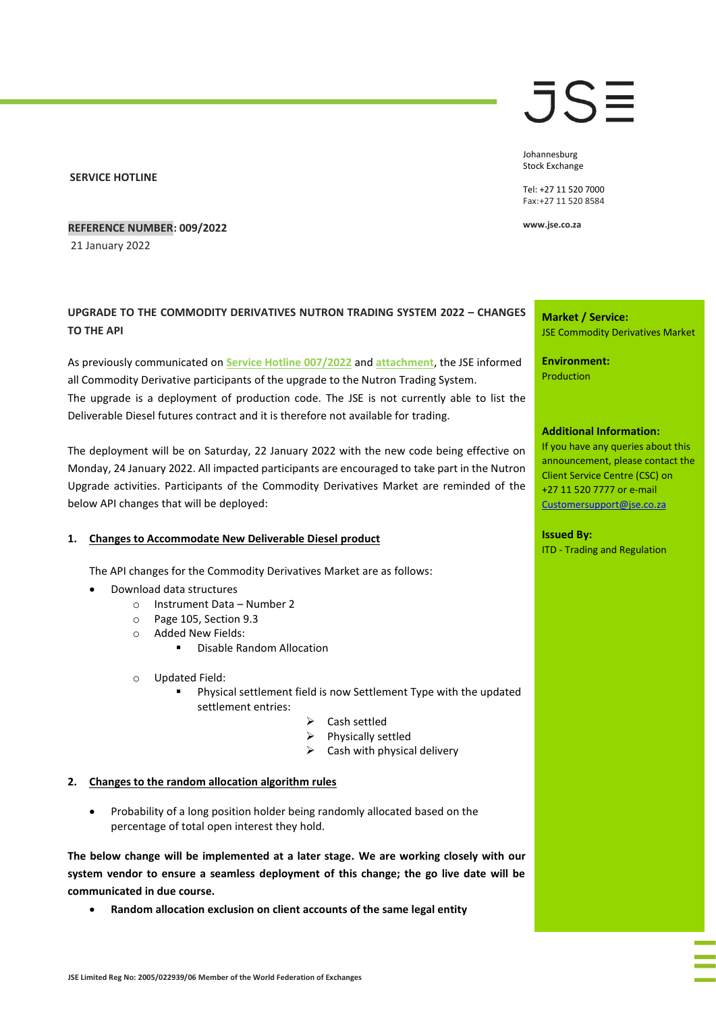#### **SERVICE HOTLINE**

#### **REFERENCE NUMBER: 009/2022**

21 January 2022

# **UPGRADE TO THE COMMODITY DERIVATIVES NUTRON TRADING SYSTEM 2022 – CHANGES TO THE API**

As previously communicated on **[Service Hotline 007/2022](https://clientportal.jse.co.za/Content/JSEHotlinesItems/JSE%20Service%20Hotline%2000722%20CDM%20-%20Upgrade%20to%20the%20CDM%20Nutron%20Trading%20System%202022%20-%20Changes%20to%20the%20API.pdf)** and **[attachment](https://clientportal.jse.co.za/Content/JSEHotlinesItems/JSE%20Service%20Hotline%2000722%20CDM%20-%20JSE%20Commodity%20Derivatives%20Market%20Nutron%20Upgrade%20Pack%20(Attachment).pdf)**, the JSE informed all Commodity Derivative participants of the upgrade to the Nutron Trading System. The upgrade is a deployment of production code. The JSE is not currently able to list the Deliverable Diesel futures contract and it is therefore not available for trading.

The deployment will be on Saturday, 22 January 2022 with the new code being effective on Monday, 24 January 2022. All impacted participants are encouraged to take part in the Nutron Upgrade activities. Participants of the Commodity Derivatives Market are reminded of the below API changes that will be deployed:

#### **1. Changes to Accommodate New Deliverable Diesel product**

The API changes for the Commodity Derivatives Market are as follows:

- Download data structures
	- o Instrument Data Number 2
	- o Page 105, Section 9.3
	- o Added New Fields:
		- Disable Random Allocation
	- o Updated Field:
		- Physical settlement field is now Settlement Type with the updated settlement entries:
			- ➢ Cash settled
			- ➢ Physically settled
			- $\triangleright$  Cash with physical delivery

#### **2. Changes to the random allocation algorithm rules**

• Probability of a long position holder being randomly allocated based on the percentage of total open interest they hold.

**The below change will be implemented at a later stage. We are working closely with our system vendor to ensure a seamless deployment of this change; the go live date will be communicated in due course.**

• **Random allocation exclusion on client accounts of the same legal entity** 

# JSE

Johannesburg Stock Exchange

Tel: +27 11 520 7000 Fax:+27 11 520 8584

**www.jse.co.za**

## **Market / Service:** JSE Commodity Derivatives Market

**Environment:** Production

### **Additional Information:**

If you have any queries about this announcement, please contact the Client Service Centre (CSC) on +27 11 520 7777 or e-mail [Customersupport@jse.co.za](mailto:Customersupport@jse.co.za)

**Issued By:** ITD - Trading and Regulation